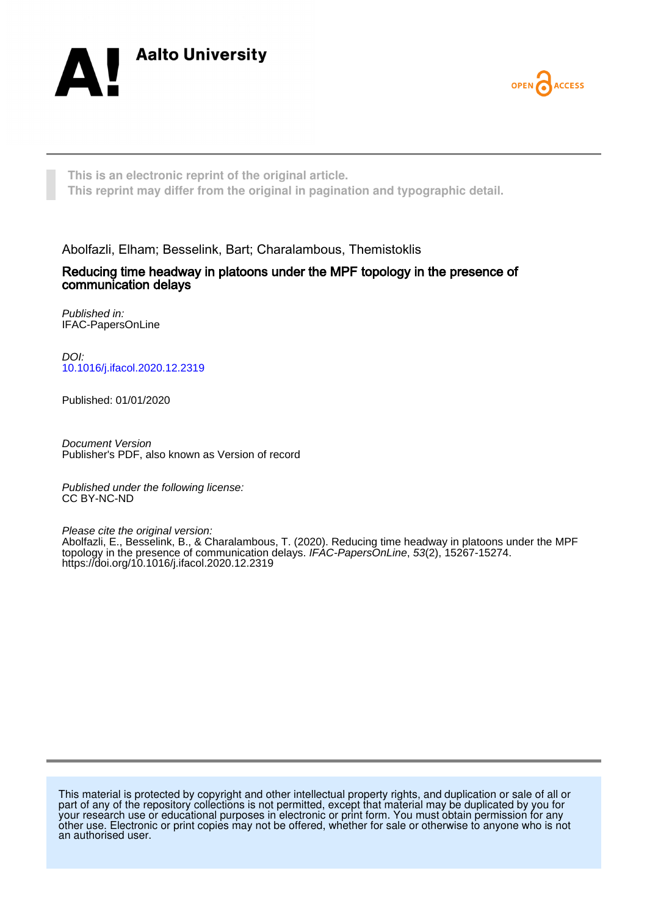



**This is an electronic reprint of the original article. This reprint may differ from the original in pagination and typographic detail.**

Abolfazli, Elham; Besselink, Bart; Charalambous, Themistoklis

# Reducing time headway in platoons under the MPF topology in the presence of communication delays

Published in: IFAC-PapersOnLine

DOI: [10.1016/j.ifacol.2020.12.2319](https://doi.org/10.1016/j.ifacol.2020.12.2319)

Published: 01/01/2020

Document Version Publisher's PDF, also known as Version of record

Published under the following license: CC BY-NC-ND

Please cite the original version:

Abolfazli, E., Besselink, B., & Charalambous, T. (2020). Reducing time headway in platoons under the MPF topology in the presence of communication delays. IFAC-PapersOnLine, 53(2), 15267-15274. <https://doi.org/10.1016/j.ifacol.2020.12.2319>

This material is protected by copyright and other intellectual property rights, and duplication or sale of all or part of any of the repository collections is not permitted, except that material may be duplicated by you for your research use or educational purposes in electronic or print form. You must obtain permission for any other use. Electronic or print copies may not be offered, whether for sale or otherwise to anyone who is not an authorised user.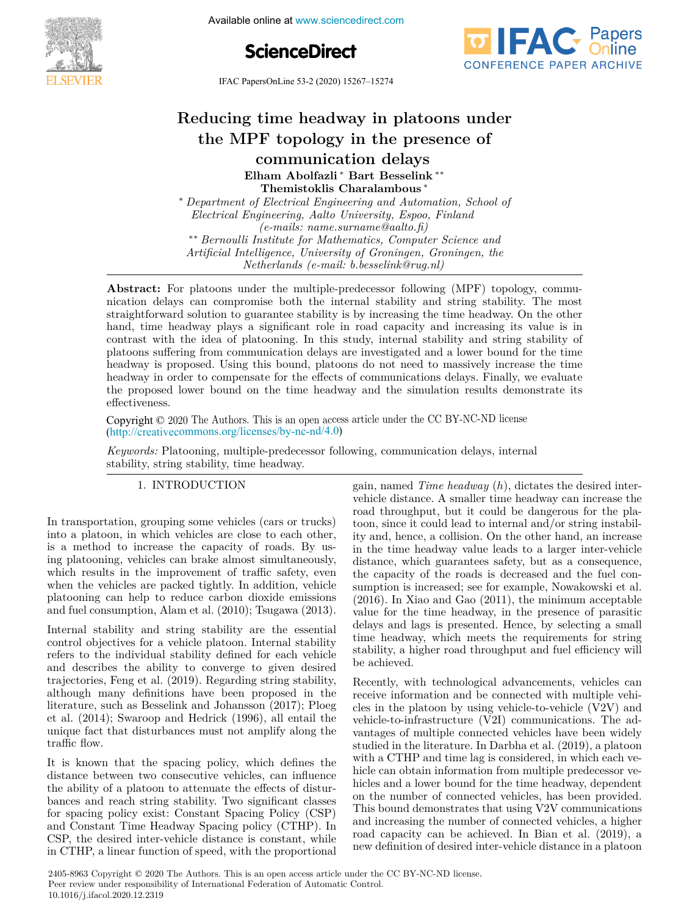

Available online at www.sciencedirect.com





IFAC PapersOnLine 53-2 (2020) 15267–15274 **Reducing time headway in platoons under Reducing time headway in platoons under**

#### ducing time headway in platoons und PF topology in the pre **Elham Abolfazli** ∗ **Bart Besselink** ∗∗ **Themistoklis Charalambous** ∗ **Elham Abolfazli** ∗ **Bart Besselink** ∗∗ **Reducing time headway in platoons under the MPF topology in platoons under Themistoklis Charalambous** \* **ELEGATION BES Themistoklis Charalambous** ∗ **Themistoklis Charalambous** ∗ ∗ *Department of Electrical Engineering and Automation, School of Electrical Engineering, Aalto University, Espoo, Finland* ∗ *Department of Electrical Engineering and Automation, School of* **Themistoklis Charalambous** ∗ ducing time headway in platoons ung the MPF topology in the presence of

∗ *Department of Electrical Engineering and Automation, School of*  $Electrical Engineering, Aalto University, Espoo, Finland$ <br> $(1, 2)$ *(e-mails: name.surname@aalto.fi) (e-mails: name.surname@aalto.fi) Bernoulli Institute for Mathematics, Computer Science and*<br>Artificial Intelligence *Matiguencia, Compineer Compineer* the Artificial Intelligence, University of Groningen, Groningen, the  $\emph{Netherlands}$  (e-mail: b.besselink@rug.nl)  $(e\text{-}mails\text{:}\ name\text{:}sumem{a}alto.\text{\textit{f}})$ *e-mails: name.surname@aalto.fi)*<br>
<sup>∗∗</sup> *B Artificial Intelligence, University of Groningen, Groningen, the* ∗∗ *Bernoulli Institute for Mathematics, Computer Science and Electrical Engineering, Aalto University, Espoo, Finland*

nication delays can compromise both the internal stability and string stability. The most straightforward solution to guarantee stability is by increasing the time headway. On the other hand, time headway plays a significant role in road capacity and increasing its value is in<br>contrast with the idea of platooning. In this study internal stability and string stability of contrast with the idea of platooning. In this study, internal stability and string stability of platoons suffering from communication delays are investigated and a lower bound for the time headway is proposed. Using this bound, platoons do not need to massively increase the time headway in order to compensate for the effects of communications delays. Finally, we evaluate<br>the proposed lower bound on the time headway and the simulation results demonstrate its<br>effectiveness the proposed lower bound on the time headway and the simulation results demonstrate its<br>effectiveness. the proposed lower bound on the simulation results demonstrate its demonstrate its demonstrate its demonstrate its demonstrate its demonstrate in  $\mathcal{L}$ *Netherlands (e-mail: b.besselink@rug.nl)* headway in order to compensate for the effects of communications delays. Finally, we evaluate effectiveness. **Abstract:** For platoons under the multiple-predecessor following (MPF) topology, commu-**Reducing time beadway in platoons under**<br>**communication of desired inter-vehicle distance inter-vehicle distance is a platoon of the string time headway in a platoons in a platoons in a platoons in a platoons in a platoo** *Artificial Intelligence, University of Groningen, Groningen, the nder the multiple-predecessor following* 

Copyright © 2020 The Authors. This is an open access article under the CC BY-NC-ND license (http://creativecommons.org/licenses/by-nc-nd/4.0)  $\text{Copyright} \cup \text{\_}$ effectiveness.  $\text{Copy right} \subseteq 2020 \text{ J} \text{ in } \mathbb{R}^n$  and the full state of the simulation results demonstrate in  $\text{C} \cup \text{D}$  is defined in  $\text{C} \cup \text{D}$  in  $\text{FMO}$  in  $\text{D}$  is defined in  $\text{D}$  in  $\text{D}$  in  $\text{D}$  in  $\text{D}$  in

*Keywords:* Platooning, multiple-predecessor following, communication delays, internal *Keywords:* Platooning, multiple-predecessor following, communication delays, internal Reywords: Platooning, multiple-predecessor following, communication delays, internal<br>stability, string stability, time headway.  $s$ <sup>1</sup><br>Keywords: Platooning, multiple-predece gain, named *Time headway* (*h*), dictates the desired inter-

## 1. INTRODUCTION 1. INTRODUCTION stability of the stability of the stability of the stability of the stability of the stability of the string stability of the string string string string string string string string string string string string string strin

In transportation, grouping some vehicles (cars or trucks) into a platoon, in which vehicles are close to each other, is a method to increase the capacity of roads. By using platooning, vehicles can brake almost simultaneously, mg platooning, venters can brake almost simulatiously,<br>which results in the improvement of traffic safety, even when testates in the improvement of traine safety, even<br>when the vehicles are packed tightly. In addition, vehicle platoning can help to reduce carbon dioxide emissions<br>and fuel consumption dioxide emissions and fuel canonical and fuel canonical and  $(2010)$ . True<br>and fuel consumption  $\Lambda$ lam at al.  $(2010)$ . True<br>area platooning can help to reduce carbon dioxide emissions<br>and fuel consumption, Alam et al. (2010); Tsugawa (2013). and fuel consumption, Alam et al. (2010); Tsugawa (2013).  $\mu$  and fuel consumption, Alam et al. (2010). Tsugawa (2013) and race consumption, ruant catalogue, rougawa  $(2010)$ .

Internal stability and string stability are the essential control objectives for a vehicle platoon. Internal stability refers to the individual stability defined for each vehicle and describes the ability to converge to given desired trajectories, Feng et al. (2019). Regarding string stability,  $\alpha$  and  $\beta$  and  $\alpha$  and  $\beta$  and  $\alpha$  are  $\beta$  and  $\alpha$  are  $\beta$  and  $\alpha$  are  $\beta$  and  $\alpha$  are  $\beta$  and  $\alpha$  are  $\beta$  and  $\alpha$  are  $\beta$  and  $\alpha$  are  $\beta$  and  $\alpha$  are  $\alpha$  are  $\alpha$  are  $\alpha$  are  $\alpha$  are  $\alpha$  are  $\alpha$  ditional many definitions have been proposed in the<br>literature, such as Besselink and Johansson (2017); Ploeg et al.  $(2014)$ ; Swaroop and Hedrick  $(1996)$ , all entail the et al. (2011); Swaroop and Hedrick (1990), all entail the<br>unique fact that disturbances must not amplify along the traffic flow. traffic flow. unique fact that disturbances must not amplify along the<br>traffic flow traffic flow. The flow of the flow of the traffic flow.<br>
unique fact that disturbances must not amplify along It is the space of  $\mathbf{I}$  is the space that the space that the space of  $\mathbf{I}$  is the space of  $\mathbf{I}$ et al. (2014); Swarp and Hedrick (1996), along the traffic flow.

It is known that the spacing policy, which defines the distance between two consecutive vehicles, can influence the ability of a platoon to attenuate the effects of disturbances and reach string stability. Two significant classes bances and reach string stability. Two significant classes<br>for spacing policy exist: Constant Spacing Policy (CSP) of spacing pointy exist. Constant Spacing Policy (CSP)<br>and Constant Time Headway Spacing policy (CTHP). In<br>CSP the desired inter-vehicle distance is constant, while  $CSP$ , the desired inter-vehicle distance is constant, while in CTHP, a linear function of speed, with the proportional  $\ln$  CTHP,  $\alpha$  linear function of speed, with the proportional  $\overline{\text{COT}}$ , and desired metropolic distance is constant, while  $\mu$  C<sub>1111</sub>,  $\mu$  inter-valued interference is operation, while the proportional gain, named *Time headway* (*h*), dictates the desired interbehicle distance. A smaller time headway can increase the road throughput, but it could be dangerous for the platoon, since it could lead to internal and/or string instability and, hence, a collision. On the other hand, an increase  $\frac{1}{2}$  and, hence, a consistent on the other hand, an increase<br>distance which supervalue leads to a larger inter-vehicle distance, which guarantees safety, but as a consequence, the capacity of the roads is decreased and the fuel consumption is increased; see for example, Nowakowski et al.<br>(2016) In Xiao and Gao (2011) the minimum acceptable sumption is increased; see for example, Nowakowski et al. (2016). In Xiao and Gao (2011), the minimum acceptable  $\alpha$  (2010). In Alab and Calo  $(2011)$ , the minimum acceptable<br>value for the time headway, in the presence of parasitic delays and lags is presented. Hence, by selecting a small<br>time headway which mosts the requirements for string time headway, which meets the requirements for string tability, a higher road throughput and fuel efficiency will be achieved. be achieved. stability, a higher road throughput and fuel efficiency will efficiency, which meets the requirements for string<br>stability, a higher road throughput and fuel efficiency will<br>be achieved.  $\mathcal{R}$  added advancements, vehicles can consider  $\mathcal{R}$  and vehicles can consider can consider  $\mathcal{R}$  and vehicles can consider  $\mathcal{R}$  and vehicles can consider  $\mathcal{R}$  and vehicles can consider  $\mathcal{R}$  and vehi be achieved.<br>De achieved  $\frac{1}{2}$  define road throughput and fuel effects with  $\frac{1}{2}$ 

Recently, with technological advancements, vehicles can receive information and be connected with multiple vehi- $\alpha$  receive mornianon and be connected with matched vehicle to-<br>cles in the platoon by using vehicle-to-vehicle  $(V2V)$  and vehicle-to-infrastructure (V2I) communications. The advantages of multiple connected vehicles have been widely studied in the literature. In Darbha et al. (2019), a platoon with a CTHP and time lag is considered, in which each ve-<br>hicle can obtain information from multiple predecessor vewith a UTH and time lag is considered, in which each vehicles and a lower bound for the time headway, dependent<br>on the number of connected vehicles has been provided medics and a lower bound for the time headway, dependent This bound demonstrates that using V2V communications and increasing the number of connected vehicles, a higher<br>and increasing the number of connected vehicles, a higher<br> $\frac{1}{2}$ road capacity can be achieved. In Bian et al. (2019), a road capacity can be achieved. In Bian et al. (2019), a<br>new definition of desired inter-vehicle distance in a platoon new definition of desired inter-vehicle distance in a platoon road capacity can be demoved. In Blan of al.  $(2010)$ , a road capacity can be accorded. The capacity can be alleged in a protection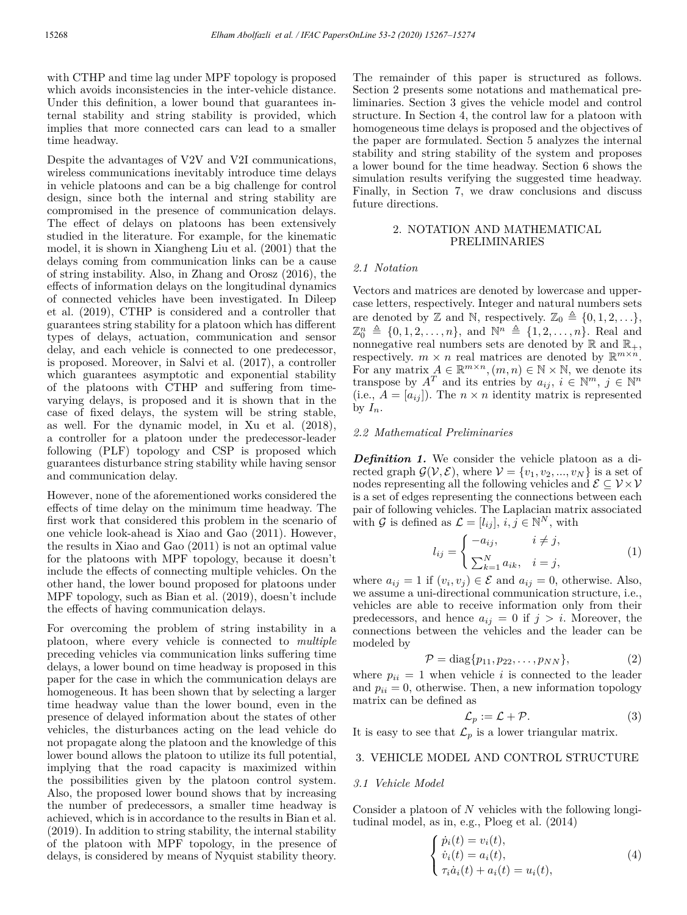with CTHP and time lag under MPF topology is proposed which avoids inconsistencies in the inter-vehicle distance. Under this definition, a lower bound that guarantees internal stability and string stability is provided, which implies that more connected cars can lead to a smaller time headway.

Despite the advantages of V2V and V2I communications, wireless communications inevitably introduce time delays in vehicle platoons and can be a big challenge for control design, since both the internal and string stability are compromised in the presence of communication delays. The effect of delays on platoons has been extensively studied in the literature. For example, for the kinematic model, it is shown in Xiangheng Liu et al. (2001) that the delays coming from communication links can be a cause of string instability. Also, in Zhang and Orosz (2016), the effects of information delays on the longitudinal dynamics of connected vehicles have been investigated. In Dileep et al. (2019), CTHP is considered and a controller that guarantees string stability for a platoon which has different types of delays, actuation, communication and sensor delay, and each vehicle is connected to one predecessor, is proposed. Moreover, in Salvi et al. (2017), a controller which guarantees asymptotic and exponential stability of the platoons with CTHP and suffering from timevarying delays, is proposed and it is shown that in the case of fixed delays, the system will be string stable, as well. For the dynamic model, in Xu et al. (2018), a controller for a platoon under the predecessor-leader following (PLF) topology and CSP is proposed which guarantees disturbance string stability while having sensor and communication delay.

However, none of the aforementioned works considered the effects of time delay on the minimum time headway. The first work that considered this problem in the scenario of one vehicle look-ahead is Xiao and Gao (2011). However, the results in Xiao and Gao (2011) is not an optimal value for the platoons with MPF topology, because it doesn't include the effects of connecting multiple vehicles. On the other hand, the lower bound proposed for platoons under MPF topology, such as Bian et al. (2019), doesn't include the effects of having communication delays.

For overcoming the problem of string instability in a platoon, where every vehicle is connected to *multiple* preceding vehicles via communication links suffering time delays, a lower bound on time headway is proposed in this paper for the case in which the communication delays are homogeneous. It has been shown that by selecting a larger time headway value than the lower bound, even in the presence of delayed information about the states of other vehicles, the disturbances acting on the lead vehicle do not propagate along the platoon and the knowledge of this lower bound allows the platoon to utilize its full potential, implying that the road capacity is maximized within the possibilities given by the platoon control system. Also, the proposed lower bound shows that by increasing the number of predecessors, a smaller time headway is achieved, which is in accordance to the results in Bian et al. (2019). In addition to string stability, the internal stability of the platoon with MPF topology, in the presence of delays, is considered by means of Nyquist stability theory.

The remainder of this paper is structured as follows. Section 2 presents some notations and mathematical preliminaries. Section 3 gives the vehicle model and control structure. In Section 4, the control law for a platoon with homogeneous time delays is proposed and the objectives of the paper are formulated. Section 5 analyzes the internal stability and string stability of the system and proposes a lower bound for the time headway. Section 6 shows the simulation results verifying the suggested time headway. Finally, in Section 7, we draw conclusions and discuss future directions.

## 2. NOTATION AND MATHEMATICAL PRELIMINARIES

### *2.1 Notation*

Vectors and matrices are denoted by lowercase and uppercase letters, respectively. Integer and natural numbers sets are denoted by Z and N, respectively.  $\mathbb{Z}_0 \triangleq \{0, 1, 2, \ldots\},\$  $\mathbb{Z}_0^n \triangleq \{0, 1, 2, \ldots, n\},\$  and  $\mathbb{N}^n \triangleq \{1, 2, \ldots, n\}.$  Real and nonnegative real numbers sets are denoted by  $\mathbb R$  and  $\mathbb R_+$ , respectively.  $m \times n$  real matrices are denoted by  $\mathbb{R}^{m \times n}$ . For any matrix  $A \in \mathbb{R}^{m \times n}$ ,  $(m, n) \in \mathbb{N} \times \mathbb{N}$ , we denote its transpose by  $A^T$  and its entries by  $a_{ij}$ ,  $i \in \mathbb{N}^m$ ,  $j \in \mathbb{N}^n$ (i.e.,  $A = [a_{ij}]$ ). The  $n \times n$  identity matrix is represented by  $I_n$ .

### *2.2 Mathematical Preliminaries*

*Definition 1.* We consider the vehicle platoon as a directed graph  $\mathcal{G}(\mathcal{V}, \mathcal{E})$ , where  $\mathcal{V} = \{v_1, v_2, ..., v_N\}$  is a set of nodes representing all the following vehicles and  $\mathcal{E} \subseteq \mathcal{V} \times \mathcal{V}$ is a set of edges representing the connections between each pair of following vehicles. The Laplacian matrix associated with G is defined as  $\mathcal{L} = [l_{ij}], i, j \in \mathbb{N}^N$ , with

$$
l_{ij} = \begin{cases} -a_{ij}, & i \neq j, \\ \sum_{k=1}^{N} a_{ik}, & i = j, \end{cases}
$$
 (1)

where  $a_{ij} = 1$  if  $(v_i, v_j) \in \mathcal{E}$  and  $a_{ij} = 0$ , otherwise. Also, we assume a uni-directional communication structure, i.e., vehicles are able to receive information only from their predecessors, and hence  $a_{ij} = 0$  if  $j > i$ . Moreover, the connections between the vehicles and the leader can be modeled by

$$
\mathcal{P} = \text{diag}\{p_{11}, p_{22}, \dots, p_{NN}\},\tag{2}
$$

where  $p_{ii} = 1$  when vehicle *i* is connected to the leader and  $p_{ii} = 0$ , otherwise. Then, a new information topology matrix can be defined as

$$
\mathcal{L}_p := \mathcal{L} + \mathcal{P}.\tag{3}
$$

It is easy to see that  $\mathcal{L}_p$  is a lower triangular matrix.

## 3. VEHICLE MODEL AND CONTROL STRUCTURE

#### *3.1 Vehicle Model*

Consider a platoon of *N* vehicles with the following longitudinal model, as in, e.g., Ploeg et al. (2014)

$$
\begin{cases}\n\dot{p}_i(t) = v_i(t), \\
\dot{v}_i(t) = a_i(t), \\
\tau_i \dot{a}_i(t) + a_i(t) = u_i(t),\n\end{cases}
$$
\n(4)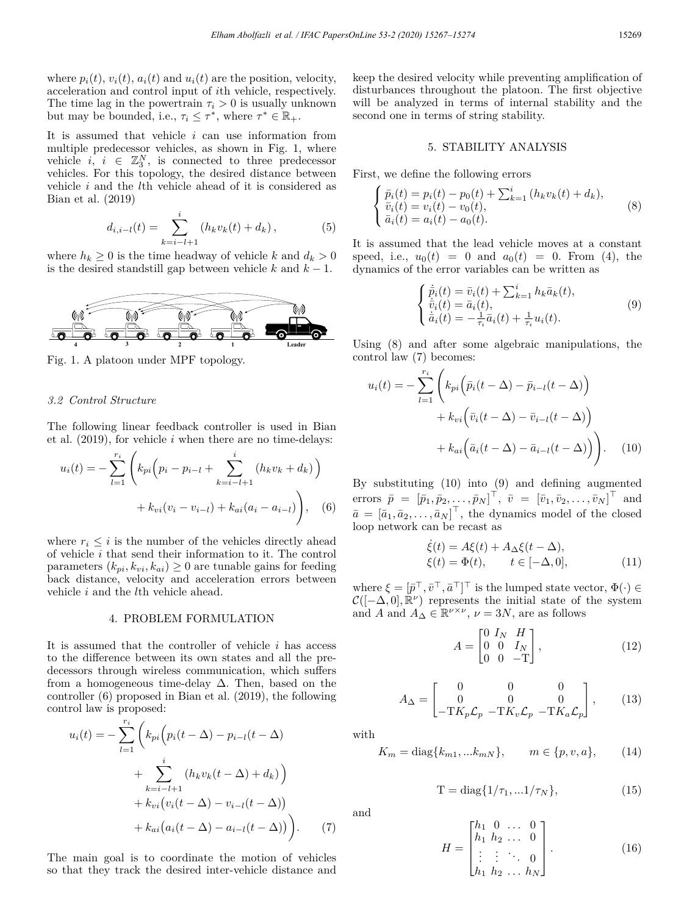where  $p_i(t)$ ,  $v_i(t)$ ,  $a_i(t)$  and  $u_i(t)$  are the position, velocity, acceleration and control input of *i*th vehicle, respectively. The time lag in the powertrain  $\tau_i > 0$  is usually unknown but may be bounded, i.e.,  $\tau_i \leq \tau^*$ , where  $\tau^* \in \mathbb{R}_+$ .

It is assumed that vehicle *i* can use information from multiple predecessor vehicles, as shown in Fig. 1, where vehicle  $i, i \in \mathbb{Z}_3^N$ , is connected to three predecessor vehicles. For this topology, the desired distance between vehicle *i* and the *l*th vehicle ahead of it is considered as Bian et al. (2019)

$$
d_{i,i-l}(t) = \sum_{k=i-l+1}^{i} (h_k v_k(t) + d_k), \qquad (5)
$$

where  $h_k \geq 0$  is the time headway of vehicle *k* and  $d_k > 0$ is the desired standstill gap between vehicle  $k$  and  $k - 1$ .



Fig. 1. A platoon under MPF topology.

### *3.2 Control Structure*

The following linear feedback controller is used in Bian et al. (2019), for vehicle *i* when there are no time-delays:

$$
u_i(t) = -\sum_{l=1}^{r_i} \left( k_{pi} \left( p_i - p_{i-l} + \sum_{k=i-l+1}^i (h_k v_k + d_k) \right) + k_{vi} (v_i - v_{i-l}) + k_{ai} (a_i - a_{i-l}) \right), \quad (6)
$$

where  $r_i \leq i$  is the number of the vehicles directly ahead of vehicle *i* that send their information to it. The control parameters  $(k_{pi}, k_{vi}, k_{ai}) \geq 0$  are tunable gains for feeding back distance, velocity and acceleration errors between vehicle *i* and the *l*th vehicle ahead.

#### 4. PROBLEM FORMULATION

It is assumed that the controller of vehicle *i* has access to the difference between its own states and all the predecessors through wireless communication, which suffers from a homogeneous time-delay  $\Delta$ . Then, based on the controller (6) proposed in Bian et al. (2019), the following control law is proposed:

$$
u_i(t) = -\sum_{l=1}^{r_i} \left( k_{pi} \left( p_i(t - \Delta) - p_{i-l}(t - \Delta) + \sum_{k=i-l+1}^{i} (h_k v_k(t - \Delta) + d_k) \right) + k_{vi} \left( v_i(t - \Delta) - v_{i-l}(t - \Delta) \right) + k_{ai} \left( a_i(t - \Delta) - a_{i-l}(t - \Delta) \right) \right). \tag{7}
$$

The main goal is to coordinate the motion of vehicles so that they track the desired inter-vehicle distance and keep the desired velocity while preventing amplification of disturbances throughout the platoon. The first objective will be analyzed in terms of internal stability and the second one in terms of string stability.

#### 5. STABILITY ANALYSIS

First, we define the following errors

$$
\begin{cases} \bar{p}_i(t) = p_i(t) - p_0(t) + \sum_{k=1}^i (h_k v_k(t) + d_k), \\ \bar{v}_i(t) = v_i(t) - v_0(t), \\ \bar{a}_i(t) = a_i(t) - a_0(t). \end{cases}
$$
(8)

It is assumed that the lead vehicle moves at a constant speed, i.e.,  $u_0(t) = 0$  and  $a_0(t) = 0$ . From (4), the dynamics of the error variables can be written as

$$
\begin{cases} \n\dot{\bar{p}}_i(t) = \bar{v}_i(t) + \sum_{k=1}^i h_k \bar{a}_k(t), \\
\dot{\bar{v}}_i(t) = \bar{a}_i(t), \\
\dot{\bar{a}}_i(t) = -\frac{1}{\tau_i} \bar{a}_i(t) + \frac{1}{\tau_i} u_i(t). \n\end{cases} \tag{9}
$$

Using (8) and after some algebraic manipulations, the control law (7) becomes:

$$
u_i(t) = -\sum_{l=1}^{r_i} \left( k_{pi} \left( \bar{p}_i(t - \Delta) - \bar{p}_{i-l}(t - \Delta) \right) + k_{vi} \left( \bar{v}_i(t - \Delta) - \bar{v}_{i-l}(t - \Delta) \right) + k_{ai} \left( \bar{a}_i(t - \Delta) - \bar{a}_{i-l}(t - \Delta) \right) \right).
$$
 (10)

By substituting (10) into (9) and defining augmented errors  $\bar{p} = [\bar{p}_1, \bar{p}_2, \ldots, \bar{p}_N]^\top$ ,  $\bar{v} = [\bar{v}_1, \bar{v}_2, \ldots, \bar{v}_N]^\top$  and  $\bar{a} = [\bar{a}_1, \bar{a}_2, \ldots, \bar{a}_N]$ , the dynamics model of the closed loop network can be recast as

$$
\dot{\xi}(t) = A\xi(t) + A_{\Delta}\xi(t - \Delta), \n\xi(t) = \Phi(t), \qquad t \in [-\Delta, 0],
$$
\n(11)

where  $\xi = [\bar{p}^{\dagger}, \bar{v}^{\dagger}, \bar{a}^{\dagger}]^{\dagger}$  is the lumped state vector,  $\Phi(\cdot) \in$  $\mathcal{C}([-\Delta,0],\mathbb{R}^{\nu})$  represents the initial state of the system and *A* and  $A_{\Delta} \in \mathbb{R}^{\nu \times \nu}$ ,  $\nu = 3N$ , are as follows

$$
A = \begin{bmatrix} 0 & I_N & H \\ 0 & 0 & I_N \\ 0 & 0 & -T \end{bmatrix},
$$
 (12)

$$
A_{\Delta} = \begin{bmatrix} 0 & 0 & 0 \\ 0 & 0 & 0 \\ -TK_p \mathcal{L}_p & -TK_v \mathcal{L}_p & -TK_a \mathcal{L}_p \end{bmatrix},
$$
 (13)

with

$$
K_m = \text{diag}\{k_{m1},...k_{mN}\}, \qquad m \in \{p, v, a\}, \qquad (14)
$$

$$
T = diag\{1/\tau_1, ... 1/\tau_N\},
$$
\n(15)

and

$$
H = \begin{bmatrix} h_1 & 0 & \dots & 0 \\ h_1 & h_2 & \dots & 0 \\ \vdots & \vdots & \ddots & 0 \\ h_1 & h_2 & \dots & h_N \end{bmatrix} .
$$
 (16)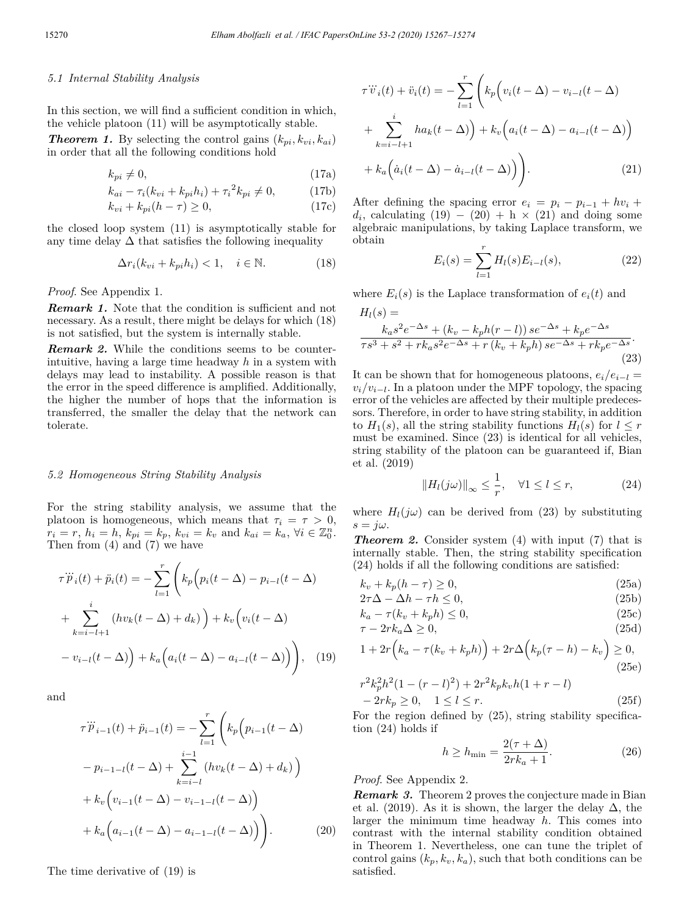## *5.1 Internal Stability Analysis*

In this section, we will find a sufficient condition in which, the vehicle platoon (11) will be asymptotically stable.

*Theorem 1.* By selecting the control gains  $(k_{pi}, k_{vi}, k_{ai})$ in order that all the following conditions hold

$$
k_{pi} \neq 0,\tag{17a}
$$

$$
k_{ai} - \tau_i (k_{vi} + k_{pi} h_i) + \tau_i^2 k_{pi} \neq 0,
$$
 (17b)

$$
k_{vi} + k_{pi}(h - \tau) \ge 0,\tag{17c}
$$

the closed loop system (11) is asymptotically stable for any time delay  $\Delta$  that satisfies the following inequality

$$
\Delta r_i(k_{vi} + k_{pi}h_i) < 1, \quad i \in \mathbb{N}.\tag{18}
$$

*Proof*. See Appendix 1.

**Remark 1.** Note that the condition is sufficient and not necessary. As a result, there might be delays for which (18) is not satisfied, but the system is internally stable.

*Remark 2.* While the conditions seems to be counterintuitive, having a large time headway *h* in a system with delays may lead to instability. A possible reason is that the error in the speed difference is amplified. Additionally, the higher the number of hops that the information is transferred, the smaller the delay that the network can tolerate.

#### *5.2 Homogeneous String Stability Analysis*

For the string stability analysis, we assume that the platoon is homogeneous, which means that  $\tau_i = \tau > 0$ ,  $r_i = r, h_i = h, k_{pi} = k_p, k_{vi} = k_v \text{ and } k_{ai} = k_a, \forall i \in \mathbb{Z}_0^n.$ Then from (4) and (7) we have

$$
\tau \ddot{p}_i(t) + \ddot{p}_i(t) = -\sum_{l=1}^r \left( k_p \left( p_i(t - \Delta) - p_{i-l}(t - \Delta) \right) + \sum_{k=i-l+1}^i \left( h v_k(t - \Delta) + d_k \right) \right) + k_v \left( v_i(t - \Delta) \right) - v_{i-l}(t - \Delta) \right), \quad (19)
$$

and

$$
\tau \ddot{p}_{i-1}(t) + \ddot{p}_{i-1}(t) = -\sum_{l=1}^{r} \left( k_p \left( p_{i-1}(t - \Delta) - p_{i-1-l}(t - \Delta) + \sum_{k=i-l}^{i-1} \left( h v_k(t - \Delta) + d_k \right) \right) + k_v \left( v_{i-1}(t - \Delta) - v_{i-1-l}(t - \Delta) \right) + k_a \left( a_{i-1}(t - \Delta) - a_{i-1-l}(t - \Delta) \right) \right). \tag{20}
$$

The time derivative of (19) is

$$
\tau \ddot{v}_i(t) + \ddot{v}_i(t) = -\sum_{l=1}^r \left( k_p \left( v_i(t - \Delta) - v_{i-l}(t - \Delta) \right) + \sum_{k=i-l+1}^i h a_k(t - \Delta) \right) + k_v \left( a_i(t - \Delta) - a_{i-l}(t - \Delta) \right) + k_a \left( \dot{a}_i(t - \Delta) - \dot{a}_{i-l}(t - \Delta) \right) \right).
$$
\n(21)

After defining the spacing error  $e_i = p_i - p_{i-1} + hv_i +$  $d_i$ , calculating (19) − (20) + h × (21) and doing some algebraic manipulations, by taking Laplace transform, we obtain

$$
E_i(s) = \sum_{l=1}^r H_l(s) E_{i-l}(s),
$$
 (22)

where  $E_i(s)$  is the Laplace transformation of  $e_i(t)$  and

$$
H_{l}(s) =
$$
  
\n
$$
k_{a}s^{2}e^{-\Delta s} + (k_{v} - k_{p}h(r - l))se^{-\Delta s} + k_{p}e^{-\Delta s}
$$
  
\n
$$
\tau s^{3} + s^{2} + rk_{a}s^{2}e^{-\Delta s} + r(k_{v} + k_{p}h)se^{-\Delta s} + rk_{p}e^{-\Delta s}
$$
\n(23)

It can be shown that for homogeneous platoons,  $e_i/e_{i-1}$  $v_i/v_{i-l}$ . In a platoon under the MPF topology, the spacing error of the vehicles are affected by their multiple predecessors. Therefore, in order to have string stability, in addition to  $H_1(s)$ , all the string stability functions  $H_l(s)$  for  $l \leq r$ must be examined. Since (23) is identical for all vehicles, string stability of the platoon can be guaranteed if, Bian et al. (2019)

$$
||H_l(j\omega)||_{\infty} \le \frac{1}{r}, \quad \forall 1 \le l \le r,
$$
\n(24)

where  $H_l(j\omega)$  can be derived from (23) by substituting  $s = j\omega$ .

*Theorem 2.* Consider system (4) with input (7) that is internally stable. Then, the string stability specification (24) holds if all the following conditions are satisfied:

$$
k_v + k_p(h - \tau) \ge 0,\tag{25a}
$$

$$
2\tau\Delta - \Delta h - \tau h \le 0,\tag{25b}
$$

$$
k_a - \tau(k_v + k_p h) \le 0,\tag{25c}
$$
\n
$$
\tau_a - 2\pi k_a \Delta > 0
$$
\n
$$
\tag{25d}
$$

$$
\tau - 2rk_a \Delta \ge 0,
$$
\n
$$
\tau + 2\pi (k - \tau(k + k)) + 2\pi \Delta (k - k) - k) > 0
$$
\n(25d)

$$
1 + 2r(k_a - \tau(k_v + k_p h)) + 2r\Delta(k_p(\tau - h) - k_v) \ge 0,
$$
\n(25e)

$$
r^{2}k_{p}^{2}h^{2}(1-(r-l)^{2})+2r^{2}k_{p}k_{v}h(1+r-l)
$$
  
-2rk<sub>p</sub>  $\geq$  0, 1  $\leq l \leq r$ . (25f)

For the region defined by  $(25)$ , string stability specification (24) holds if

$$
h \ge h_{\min} = \frac{2(\tau + \Delta)}{2rk_a + 1}.
$$
\n(26)

### *Proof*. See Appendix 2.

*Remark 3.* Theorem 2 proves the conjecture made in Bian et al. (2019). As it is shown, the larger the delay  $\Delta$ , the larger the minimum time headway *h*. This comes into contrast with the internal stability condition obtained in Theorem 1. Nevertheless, one can tune the triplet of control gains  $(k_p, k_v, k_a)$ , such that both conditions can be satisfied.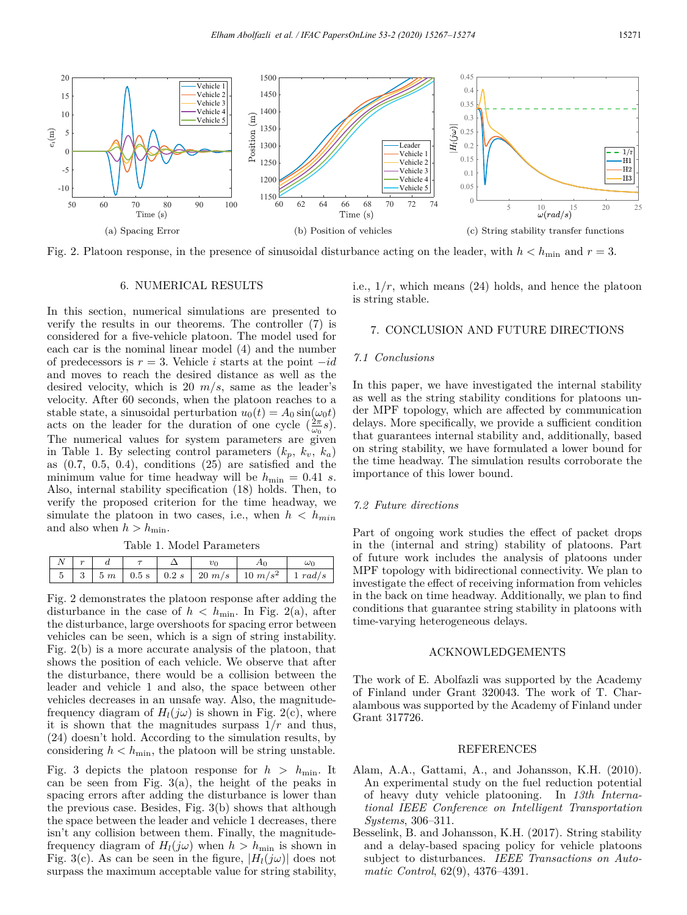

Fig. 2. Platoon response, in the presence of sinusoidal disturbance acting on the leader, with  $h < h_{\min}$  and  $r = 3$ .

#### 6. NUMERICAL RESULTS

In this section, numerical simulations are presented to verify the results in our theorems. The controller (7) is considered for a five-vehicle platoon. The model used for each car is the nominal linear model (4) and the number of predecessors is *r* = 3. Vehicle *i* starts at the point −*id* and moves to reach the desired distance as well as the desired velocity, which is 20 *m/s*, same as the leader's velocity. After 60 seconds, when the platoon reaches to a stable state, a sinusoidal perturbation  $u_0(t) = A_0 \sin(\omega_0 t)$ acts on the leader for the duration of one cycle  $(\frac{2\pi}{\omega_0}s)$ . The numerical values for system parameters are given in Table 1. By selecting control parameters  $(k_p, k_v, k_a)$ as  $(0.7, 0.5, 0.4)$ , conditions  $(25)$  are satisfied and the minimum value for time headway will be  $h_{\min} = 0.41$  *s*. Also, internal stability specification (18) holds. Then, to verify the proposed criterion for the time headway, we simulate the platoon in two cases, i.e., when  $h < h_{min}$ and also when  $h > h_{\min}$ .

Table 1. Model Parameters

|  |  |  | $\vert 5 \vert 3 \vert 5 m \vert 0.5 s \vert 0.2 s \vert 20 m/s \vert 10 m/s^2 \vert 1 rad/s$ |  |
|--|--|--|-----------------------------------------------------------------------------------------------|--|

Fig. 2 demonstrates the platoon response after adding the disturbance in the case of  $h < h_{\min}$ . In Fig. 2(a), after the disturbance, large overshoots for spacing error between vehicles can be seen, which is a sign of string instability. Fig. 2(b) is a more accurate analysis of the platoon, that shows the position of each vehicle. We observe that after the disturbance, there would be a collision between the leader and vehicle 1 and also, the space between other vehicles decreases in an unsafe way. Also, the magnitudefrequency diagram of  $H_l(j\omega)$  is shown in Fig. 2(c), where it is shown that the magnitudes surpass  $1/r$  and thus, (24) doesn't hold. According to the simulation results, by considering  $h < h_{\min}$ , the platoon will be string unstable.

Fig. 3 depicts the platoon response for  $h > h_{\text{min}}$ . It can be seen from Fig.  $3(a)$ , the height of the peaks in spacing errors after adding the disturbance is lower than the previous case. Besides, Fig. 3(b) shows that although the space between the leader and vehicle 1 decreases, there isn't any collision between them. Finally, the magnitudefrequency diagram of  $H_l(j\omega)$  when  $h > h_{\min}$  is shown in Fig. 3(c). As can be seen in the figure,  $|H_l(j\omega)|$  does not surpass the maximum acceptable value for string stability, i.e.,  $1/r$ , which means  $(24)$  holds, and hence the platoon is string stable.

## 7. CONCLUSION AND FUTURE DIRECTIONS

## *7.1 Conclusions*

In this paper, we have investigated the internal stability as well as the string stability conditions for platoons under MPF topology, which are affected by communication delays. More specifically, we provide a sufficient condition that guarantees internal stability and, additionally, based on string stability, we have formulated a lower bound for the time headway. The simulation results corroborate the importance of this lower bound.

### *7.2 Future directions*

Part of ongoing work studies the effect of packet drops in the (internal and string) stability of platoons. Part of future work includes the analysis of platoons under MPF topology with bidirectional connectivity. We plan to investigate the effect of receiving information from vehicles in the back on time headway. Additionally, we plan to find conditions that guarantee string stability in platoons with time-varying heterogeneous delays.

#### ACKNOWLEDGEMENTS

The work of E. Abolfazli was supported by the Academy of Finland under Grant 320043. The work of T. Charalambous was supported by the Academy of Finland under Grant 317726.

#### REFERENCES

- Alam, A.A., Gattami, A., and Johansson, K.H. (2010). An experimental study on the fuel reduction potential of heavy duty vehicle platooning. In *13th International IEEE Conference on Intelligent Transportation Systems*, 306–311.
- Besselink, B. and Johansson, K.H. (2017). String stability and a delay-based spacing policy for vehicle platoons subject to disturbances. *IEEE Transactions on Automatic Control*, 62(9), 4376–4391.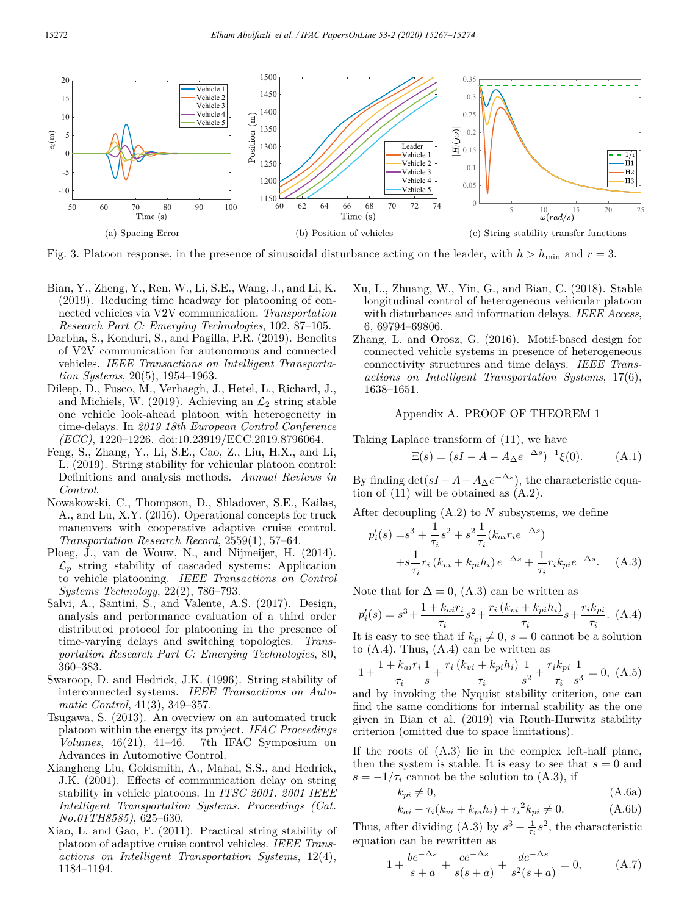

Fig. 3. Platoon response, in the presence of sinusoidal disturbance acting on the leader, with  $h > h_{\text{min}}$  and  $r = 3$ .

- Bian, Y., Zheng, Y., Ren, W., Li, S.E., Wang, J., and Li, K. (2019). Reducing time headway for platooning of connected vehicles via V2V communication. *Transportation Research Part C: Emerging Technologies*, 102, 87–105.
- Darbha, S., Konduri, S., and Pagilla, P.R. (2019). Benefits of V2V communication for autonomous and connected vehicles. *IEEE Transactions on Intelligent Transportation Systems*, 20(5), 1954–1963.
- Dileep, D., Fusco, M., Verhaegh, J., Hetel, L., Richard, J., and Michiels, W. (2019). Achieving an  $\mathcal{L}_2$  string stable one vehicle look-ahead platoon with heterogeneity in time-delays. In *2019 18th European Control Conference (ECC)*, 1220–1226. doi:10.23919/ECC.2019.8796064.
- Feng, S., Zhang, Y., Li, S.E., Cao, Z., Liu, H.X., and Li, L. (2019). String stability for vehicular platoon control: Definitions and analysis methods. *Annual Reviews in Control*.
- Nowakowski, C., Thompson, D., Shladover, S.E., Kailas, A., and Lu, X.Y. (2016). Operational concepts for truck maneuvers with cooperative adaptive cruise control. *Transportation Research Record*, 2559(1), 57–64.
- Ploeg, J., van de Wouw, N., and Nijmeijer, H. (2014).  $\mathcal{L}_p$  string stability of cascaded systems: Application to vehicle platooning. *IEEE Transactions on Control Systems Technology*, 22(2), 786–793.
- Salvi, A., Santini, S., and Valente, A.S. (2017). Design, analysis and performance evaluation of a third order distributed protocol for platooning in the presence of time-varying delays and switching topologies. *Transportation Research Part C: Emerging Technologies*, 80, 360–383.
- Swaroop, D. and Hedrick, J.K. (1996). String stability of interconnected systems. *IEEE Transactions on Automatic Control*, 41(3), 349–357.
- Tsugawa, S. (2013). An overview on an automated truck platoon within the energy its project. *IFAC Proceedings Volumes*, 46(21), 41–46. 7th IFAC Symposium on Advances in Automotive Control.
- Xiangheng Liu, Goldsmith, A., Mahal, S.S., and Hedrick, J.K. (2001). Effects of communication delay on string stability in vehicle platoons. In *ITSC 2001. 2001 IEEE Intelligent Transportation Systems. Proceedings (Cat. No.01TH8585)*, 625–630.
- Xiao, L. and Gao, F. (2011). Practical string stability of platoon of adaptive cruise control vehicles. *IEEE Transactions on Intelligent Transportation Systems*, 12(4), 1184–1194.
- Xu, L., Zhuang, W., Yin, G., and Bian, C. (2018). Stable longitudinal control of heterogeneous vehicular platoon with disturbances and information delays. *IEEE Access*, 6, 69794–69806.
- Zhang, L. and Orosz, G. (2016). Motif-based design for connected vehicle systems in presence of heterogeneous connectivity structures and time delays. *IEEE Transactions on Intelligent Transportation Systems*, 17(6), 1638–1651.

### Appendix A. PROOF OF THEOREM 1

Taking Laplace transform of (11), we have

$$
\Xi(s) = (sI - A - A_{\Delta}e^{-\Delta s})^{-1}\xi(0). \tag{A.1}
$$

By finding  $\det(sI - A - A_{\Delta}e^{-\Delta s})$ , the characteristic equation of (11) will be obtained as (A.2).

After decoupling (A.2) to *N* subsystems, we define

$$
p'_{i}(s) = s^{3} + \frac{1}{\tau_{i}}s^{2} + s^{2}\frac{1}{\tau_{i}}(k_{ai}r_{i}e^{-\Delta s}) + s\frac{1}{\tau_{i}}r_{i}(k_{vi} + k_{pi}h_{i})e^{-\Delta s} + \frac{1}{\tau_{i}}r_{i}k_{pi}e^{-\Delta s}.
$$
 (A.3)

Note that for  $\Delta = 0$ , (A.3) can be written as

$$
p_i'(s) = s^3 + \frac{1 + k_{ai}r_i}{\tau_i} s^2 + \frac{r_i(k_{vi} + k_{pi}h_i)}{\tau_i} s + \frac{r_i k_{pi}}{\tau_i}.
$$
 (A.4)

It is easy to see that if  $k_{pi} \neq 0$ ,  $s = 0$  cannot be a solution to  $(A.4)$ . Thus,  $(A.4)$  can be written as

$$
1 + \frac{1 + k_{ai}r_i}{\tau_i} \frac{1}{s} + \frac{r_i (k_{vi} + k_{pi}h_i)}{\tau_i} \frac{1}{s^2} + \frac{r_i k_{pi}}{\tau_i} \frac{1}{s^3} = 0, \ (A.5)
$$

and by invoking the Nyquist stability criterion, one can find the same conditions for internal stability as the one given in Bian et al. (2019) via Routh-Hurwitz stability criterion (omitted due to space limitations).

If the roots of (A.3) lie in the complex left-half plane, then the system is stable. It is easy to see that  $s = 0$  and  $s = -1/\tau_i$  cannot be the solution to (A.3), if

$$
k_{pi} \neq 0,\tag{A.6a}
$$

$$
k_{ai} - \tau_i (k_{vi} + k_{pi} h_i) + {\tau_i}^2 k_{pi} \neq 0.
$$
 (A.6b)

Thus, after dividing (A.3) by  $s^3 + \frac{1}{\tau_i}s^2$ , the characteristic equation can be rewritten as

$$
1 + \frac{be^{-\Delta s}}{s+a} + \frac{ce^{-\Delta s}}{s(s+a)} + \frac{de^{-\Delta s}}{s^2(s+a)} = 0,
$$
 (A.7)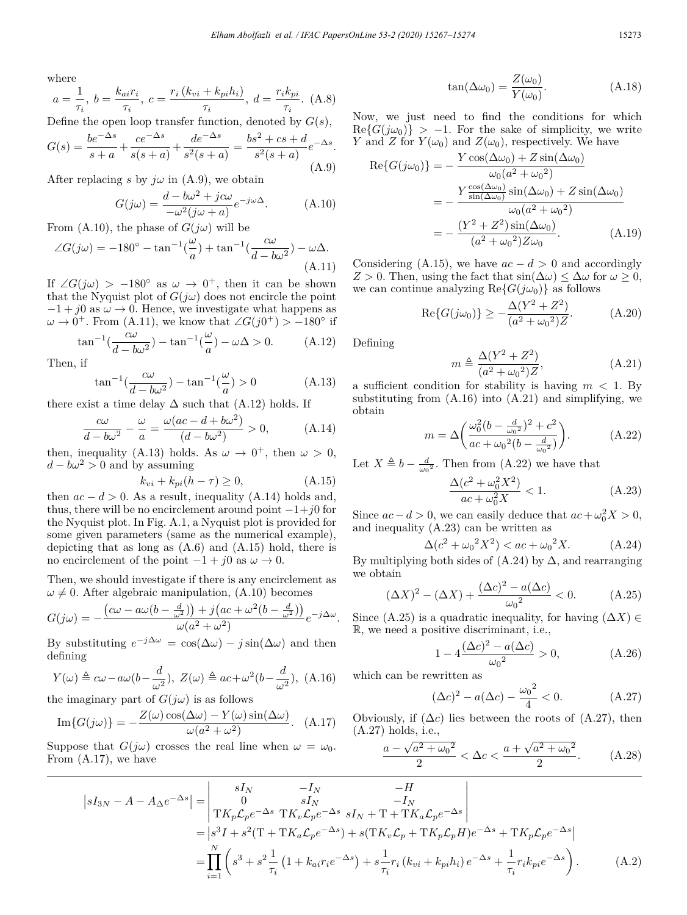where

$$
a = \frac{1}{\tau_i}, b = \frac{k_{ai}r_i}{\tau_i}, c = \frac{r_i(k_{vi} + k_{pi}h_i)}{\tau_i}, d = \frac{r_i k_{pi}}{\tau_i}.
$$
 (A.8)

Define the open loop transfer function, denoted by *G*(*s*),

$$
G(s) = \frac{be^{-\Delta s}}{s+a} + \frac{ce^{-\Delta s}}{s(s+a)} + \frac{de^{-\Delta s}}{s^2(s+a)} = \frac{bs^2 + cs + d}{s^2(s+a)}e^{-\Delta s}.
$$
\n(A.9)

After replacing *s* by  $j\omega$  in (A.9), we obtain

$$
G(j\omega) = \frac{d - b\omega^2 + jc\omega}{-\omega^2(j\omega + a)} e^{-j\omega\Delta}.
$$
 (A.10)

From (A.10), the phase of  $G(j\omega)$  will be

$$
\angle G(j\omega) = -180^{\circ} - \tan^{-1}\left(\frac{\omega}{a}\right) + \tan^{-1}\left(\frac{c\omega}{d - b\omega^2}\right) - \omega\Delta.
$$
\n(A.11)

If  $\angle G(j\omega) > -180^\circ$  as  $\omega \to 0^+$ , then it can be shown that the Nyquist plot of  $G(j\omega)$  does not encircle the point  $-1 + j0$  as  $\omega \rightarrow 0$ . Hence, we investigate what happens as  $\omega \to 0^+$ . From (A.11), we know that  $\angle G(j0^+) > -180^\circ$  if

$$
\tan^{-1}\left(\frac{c\omega}{d - b\omega^2}\right) - \tan^{-1}\left(\frac{\omega}{a}\right) - \omega\Delta > 0. \tag{A.12}
$$

Then, if

$$
\tan^{-1}\left(\frac{c\omega}{d - b\omega^2}\right) - \tan^{-1}\left(\frac{\omega}{a}\right) > 0\tag{A.13}
$$

there exist a time delay  $\Delta$  such that (A.12) holds. If

$$
\frac{c\omega}{d - b\omega^2} - \frac{\omega}{a} = \frac{\omega(ac - d + b\omega^2)}{(d - b\omega^2)} > 0,
$$
 (A.14)

then, inequality (A.13) holds. As  $\omega \to 0^+$ , then  $\omega > 0$ ,  $d - b\omega^2 > 0$  and by assuming

$$
k_{vi} + k_{pi}(h - \tau) \ge 0,
$$
\n(A.15)

then  $ac - d > 0$ . As a result, inequality (A.14) holds and, thus, there will be no encirclement around point −1+*j*0 for the Nyquist plot. In Fig. A.1, a Nyquist plot is provided for some given parameters (same as the numerical example), depicting that as long as (A.6) and (A.15) hold, there is no encirclement of the point  $-1 + i0$  as  $\omega \to 0$ .

Then, we should investigate if there is any encirclement as  $\omega \neq 0$ . After algebraic manipulation, (A.10) becomes

$$
G(j\omega) = -\frac{(c\omega - a\omega(b - \frac{d}{\omega^2})) + j(ac + \omega^2(b - \frac{d}{\omega^2}))}{\omega(a^2 + \omega^2)}e^{-j\Delta\omega}.
$$

By substituting  $e^{-j\Delta\omega} = \cos(\Delta\omega) - j\sin(\Delta\omega)$  and then defining

$$
Y(\omega) \triangleq c\omega - a\omega(b - \frac{d}{\omega^2}), \ Z(\omega) \triangleq ac + \omega^2(b - \frac{d}{\omega^2}), \ (A.16)
$$

the imaginary part of  $G(j\omega)$  is as follows

Im
$$
\{G(j\omega)\}
$$
 =  $-\frac{Z(\omega)\cos(\Delta\omega) - Y(\omega)\sin(\Delta\omega)}{\omega(a^2 + \omega^2)}$ . (A.17)

Suppose that  $G(j\omega)$  crosses the real line when  $\omega = \omega_0$ . From (A.17), we have

$$
\tan(\Delta \omega_0) = \frac{Z(\omega_0)}{Y(\omega_0)}.
$$
\n(A.18)

Now, we just need to find the conditions for which  $\text{Re}\{G(j\omega_0)\}$  > −1. For the sake of simplicity, we write *Y* and *Z* for  $Y(\omega_0)$  and  $Z(\omega_0)$ , respectively. We have

$$
\operatorname{Re}\{G(j\omega_0)\} = -\frac{Y\cos(\Delta\omega_0) + Z\sin(\Delta\omega_0)}{\omega_0(a^2 + \omega_0^2)}
$$
  
= 
$$
-\frac{Y\frac{\cos(\Delta\omega_0)}{\sin(\Delta\omega_0)}\sin(\Delta\omega_0) + Z\sin(\Delta\omega_0)}{\omega_0(a^2 + \omega_0^2)}
$$
  
= 
$$
-\frac{(Y^2 + Z^2)\sin(\Delta\omega_0)}{(a^2 + \omega_0^2)Z\omega_0}.
$$
 (A.19)

Considering (A.15), we have  $ac - d > 0$  and accordingly *Z >* 0. Then, using the fact that sin(∆*ω*) ≤ ∆*ω* for *ω* ≥ 0, we can continue analyzing  $\text{Re}\lbrace G(j\omega_0)\rbrace$  as follows

$$
\text{Re}\{G(j\omega_0)\} \ge -\frac{\Delta(Y^2 + Z^2)}{(a^2 + \omega_0^2)Z}.\tag{A.20}
$$

Defining

$$
m \triangleq \frac{\Delta (Y^2 + Z^2)}{(a^2 + \omega_0^2)Z},
$$
 (A.21)

a sufficient condition for stability is having  $m < 1$ . By substituting from  $(A.16)$  into  $(A.21)$  and simplifying, we obtain

$$
m = \Delta \left( \frac{\omega_0^2 (b - \frac{d}{\omega_0^2})^2 + c^2}{ac + \omega_0^2 (b - \frac{d}{\omega_0^2})} \right). \tag{A.22}
$$

Let  $X \triangleq b - \frac{d}{\omega_0^2}$ . Then from (A.22) we have that

$$
\frac{\Delta(c^2 + \omega_0^2 X^2)}{ac + \omega_0^2 X} < 1. \tag{A.23}
$$

Since  $ac - d > 0$ , we can easily deduce that  $ac + \omega_0^2 X > 0$ , and inequality (A.23) can be written as

$$
\Delta(c^2 + \omega_0^2 X^2) < ac + \omega_0^2 X. \tag{A.24}
$$

By multiplying both sides of  $(A.24)$  by  $\Delta$ , and rearranging we obtain

$$
(\Delta X)^{2} - (\Delta X) + \frac{(\Delta c)^{2} - a(\Delta c)}{\omega_{0}^{2}} < 0.
$$
 (A.25)

Since (A.25) is a quadratic inequality, for having  $(\Delta X) \in$ R, we need a positive discriminant, i.e.,

$$
1 - 4 \frac{(\Delta c)^2 - a(\Delta c)}{\omega_0^2} > 0,
$$
 (A.26)

which can be rewritten as

$$
(\Delta c)^2 - a(\Delta c) - \frac{{\omega_0}^2}{4} < 0.
$$
 (A.27)

Obviously, if  $(\Delta c)$  lies between the roots of  $(A.27)$ , then (A.27) holds, i.e.,

$$
\frac{a - \sqrt{a^2 + \omega_0^2}}{2} < \Delta c < \frac{a + \sqrt{a^2 + \omega_0^2}}{2}.\tag{A.28}
$$

$$
|sI_{3N} - A - A_{\Delta}e^{-\Delta s}| = \begin{vmatrix} sI_N & -I_N & -H \\ 0 & sI_N & -I_N \\ Tk_p \mathcal{L}_p e^{-\Delta s} \ TK_v \mathcal{L}_p e^{-\Delta s} \ sI_N + T + TK_a \mathcal{L}_p e^{-\Delta s} \end{vmatrix}
$$
  
=  $|s^3I + s^2(T + TK_a \mathcal{L}_p e^{-\Delta s}) + s(TK_v \mathcal{L}_p + TK_p \mathcal{L}_p H) e^{-\Delta s} + TK_p \mathcal{L}_p e^{-\Delta s}|$   
=  $\prod_{i=1}^N \left( s^3 + s^2 \frac{1}{\tau_i} (1 + k_{ai} r_i e^{-\Delta s}) + s \frac{1}{\tau_i} r_i (k_{vi} + k_{pi} h_i) e^{-\Delta s} + \frac{1}{\tau_i} r_i k_{pi} e^{-\Delta s} \right).$  (A.2)